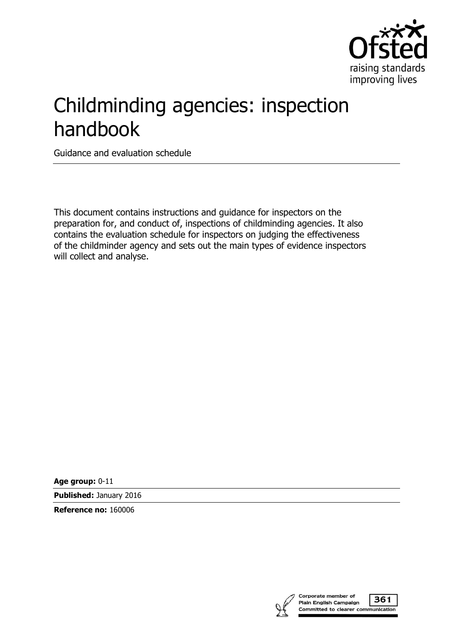

# Childminding agencies: inspection handbook

Guidance and evaluation schedule

This document contains instructions and guidance for inspectors on the preparation for, and conduct of, inspections of childminding agencies. It also contains the evaluation schedule for inspectors on judging the effectiveness of the childminder agency and sets out the main types of evidence inspectors will collect and analyse.

**Age group:** 0-11

**Published:** January 2016

**Reference no:** 160006

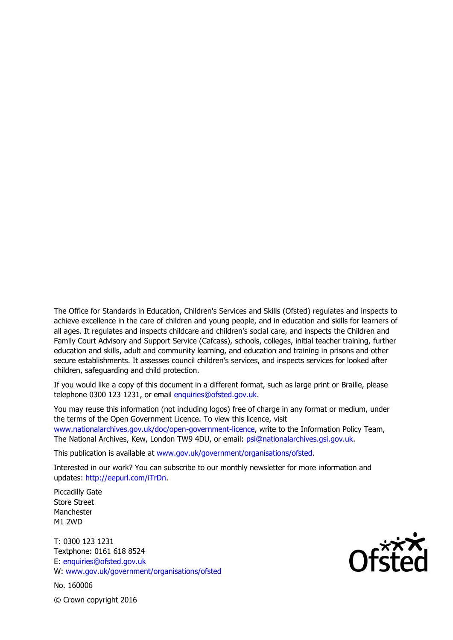The Office for Standards in Education, Children's Services and Skills (Ofsted) regulates and inspects to achieve excellence in the care of children and young people, and in education and skills for learners of all ages. It regulates and inspects childcare and children's social care, and inspects the Children and Family Court Advisory and Support Service (Cafcass), schools, colleges, initial teacher training, further education and skills, adult and community learning, and education and training in prisons and other secure establishments. It assesses council children's services, and inspects services for looked after children, safeguarding and child protection.

If you would like a copy of this document in a different format, such as large print or Braille, please telephone 0300 123 1231, or email enquiries@ofsted.gov.uk.

You may reuse this information (not including logos) free of charge in any format or medium, under the terms of the Open Government Licence. To view this licence, visit www.nationalarchives.gov.uk/doc/open-government-licence, write to the Information Policy Team, The National Archives, Kew, London TW9 4DU, or email: psi@nationalarchives.gsi.gov.uk.

This publication is available at www.gov.uk/government/organisations/ofsted.

Interested in our work? You can subscribe to our monthly newsletter for more information and updates: http://eepurl.com/iTrDn.

Piccadilly Gate Store Street Manchester M1 2WD

T: 0300 123 1231 Textphone: 0161 618 8524 E: enquiries@ofsted.gov.uk W: www.gov.uk/government/organisations/ofsted

No. 160006

 $\mathsf{Of}^{\mathsf{xxx}}_{\mathsf{C}}$ 

© Crown copyright 2016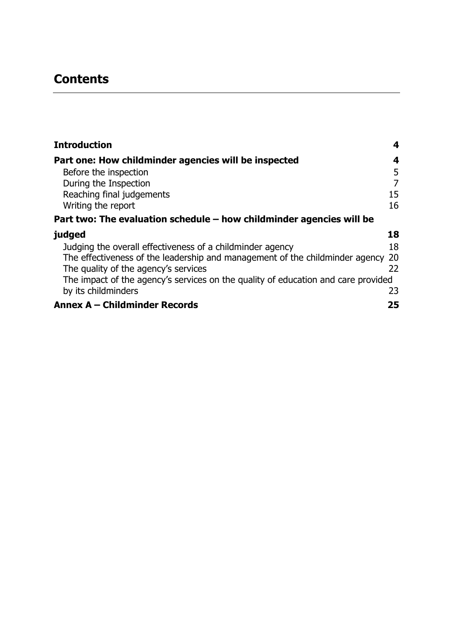# **Contents**

| <b>Introduction</b>                                                               | 4              |
|-----------------------------------------------------------------------------------|----------------|
| Part one: How childminder agencies will be inspected                              | 4              |
| Before the inspection                                                             | 5              |
| During the Inspection                                                             | $\overline{7}$ |
| Reaching final judgements                                                         | 15             |
| Writing the report                                                                | 16             |
| Part two: The evaluation schedule $-$ how childminder agencies will be            |                |
| judged                                                                            | 18             |
| Judging the overall effectiveness of a childminder agency                         | 18             |
| The effectiveness of the leadership and management of the childminder agency      | 20             |
| The quality of the agency's services                                              | 22             |
| The impact of the agency's services on the quality of education and care provided |                |
| by its childminders                                                               | 23             |
| <b>Annex A - Childminder Records</b>                                              | 25             |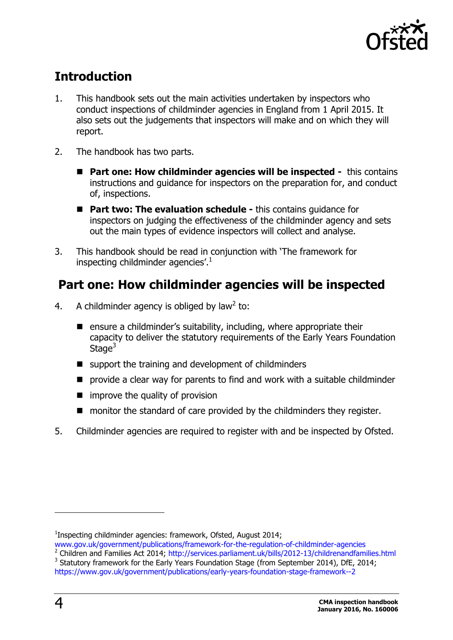

# <span id="page-3-0"></span>**Introduction**

- 1. This handbook sets out the main activities undertaken by inspectors who conduct inspections of childminder agencies in England from 1 April 2015. It also sets out the judgements that inspectors will make and on which they will report.
- 2. The handbook has two parts.
	- **Part one: How childminder agencies will be inspected -** this contains instructions and guidance for inspectors on the preparation for, and conduct of, inspections.
	- **Part two: The evaluation schedule -** this contains guidance for inspectors on judging the effectiveness of the childminder agency and sets out the main types of evidence inspectors will collect and analyse.
- 3. This handbook should be read in conjunction with 'The framework for inspecting childminder agencies'. $1$

# <span id="page-3-1"></span>**Part one: How childminder agencies will be inspected**

- 4. A childminder agency is obliged by law<sup>2</sup> to:
	- **E** ensure a childminder's suitability, including, where appropriate their capacity to deliver the statutory requirements of the Early Years Foundation Stage $3$
	- $\blacksquare$  support the training and development of childminders
	- **P** provide a clear way for parents to find and work with a suitable childminder
	- $\blacksquare$  improve the quality of provision
	- monitor the standard of care provided by the childminders they register.
- 5. Childminder agencies are required to register with and be inspected by Ofsted.

<sup>&</sup>lt;sup>1</sup>Inspecting childminder agencies: framework, Ofsted, August 2014;

[www.gov.uk/government/publications/framework-for-the-regulation-of-childminder-agencies](https://www.gov.uk/government/publications/framework-for-the-regulation-of-childminder-agencies)

<sup>&</sup>lt;sup>2</sup> Children and Families Act 2014; <http://services.parliament.uk/bills/2012-13/childrenandfamilies.html>  $3$  Statutory framework for the Early Years Foundation Stage (from September 2014), DfE, 2014;

<https://www.gov.uk/government/publications/early-years-foundation-stage-framework--2>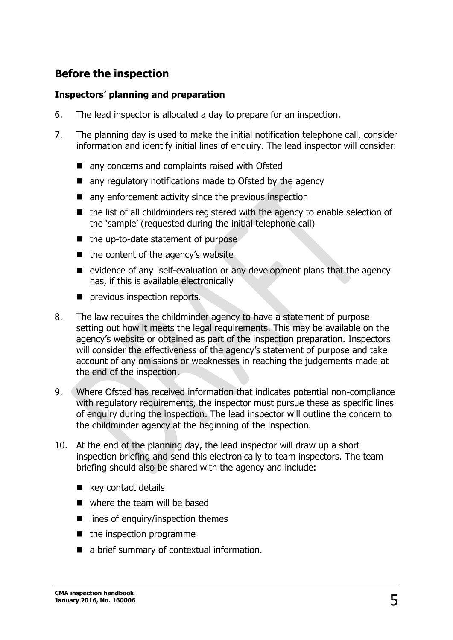### <span id="page-4-0"></span>**Before the inspection**

#### **Inspectors' planning and preparation**

- 6. The lead inspector is allocated a day to prepare for an inspection.
- 7. The planning day is used to make the initial notification telephone call, consider information and identify initial lines of enquiry. The lead inspector will consider:
	- any concerns and complaints raised with Ofsted
	- **now any requiatory notifications made to Ofsted by the agency**
	- $\blacksquare$  any enforcement activity since the previous inspection
	- the list of all childminders registered with the agency to enable selection of the 'sample' (requested during the initial telephone call)
	- $\blacksquare$  the up-to-date statement of purpose
	- $\blacksquare$  the content of the agency's website
	- $\blacksquare$  evidence of any self-evaluation or any development plans that the agency has, if this is available electronically
	- **P** previous inspection reports.
- 8. The law requires the childminder agency to have a statement of purpose setting out how it meets the legal requirements. This may be available on the agency's website or obtained as part of the inspection preparation. Inspectors will consider the effectiveness of the agency's statement of purpose and take account of any omissions or weaknesses in reaching the judgements made at the end of the inspection.
- 9. Where Ofsted has received information that indicates potential non-compliance with regulatory reguirements, the inspector must pursue these as specific lines of enquiry during the inspection. The lead inspector will outline the concern to the childminder agency at the beginning of the inspection.
- 10. At the end of the planning day, the lead inspector will draw up a short inspection briefing and send this electronically to team inspectors. The team briefing should also be shared with the agency and include:
	- **key contact details**
	- where the team will be based
	- $\blacksquare$  lines of enquiry/inspection themes
	- $\blacksquare$  the inspection programme
	- a brief summary of contextual information.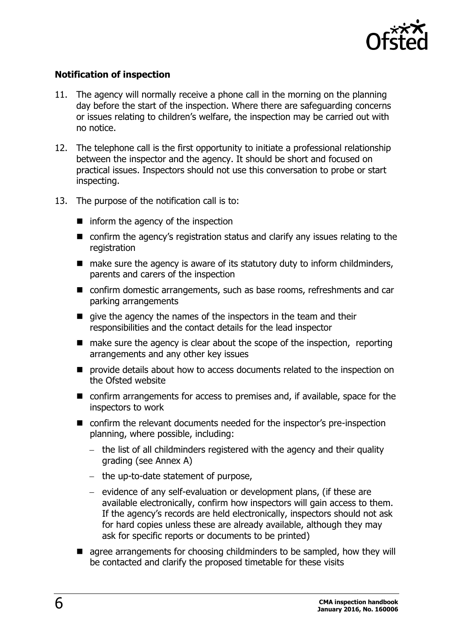

#### **Notification of inspection**

- 11. The agency will normally receive a phone call in the morning on the planning day before the start of the inspection. Where there are safeguarding concerns or issues relating to children's welfare, the inspection may be carried out with no notice.
- 12. The telephone call is the first opportunity to initiate a professional relationship between the inspector and the agency. It should be short and focused on practical issues. Inspectors should not use this conversation to probe or start inspecting.
- 13. The purpose of the notification call is to:
	- $\blacksquare$  inform the agency of the inspection
	- confirm the agency's registration status and clarify any issues relating to the registration
	- $\blacksquare$  make sure the agency is aware of its statutory duty to inform childminders, parents and carers of the inspection
	- confirm domestic arrangements, such as base rooms, refreshments and car parking arrangements
	- qive the agency the names of the inspectors in the team and their responsibilities and the contact details for the lead inspector
	- $\blacksquare$  make sure the agency is clear about the scope of the inspection, reporting arrangements and any other key issues
	- **P** provide details about how to access documents related to the inspection on the Ofsted website
	- confirm arrangements for access to premises and, if available, space for the inspectors to work
	- confirm the relevant documents needed for the inspector's pre-inspection planning, where possible, including:
		- $-$  the list of all childminders registered with the agency and their quality grading (see Annex A)
		- the up-to-date statement of purpose,
		- $-$  evidence of any self-evaluation or development plans, (if these are available electronically, confirm how inspectors will gain access to them. If the agency's records are held electronically, inspectors should not ask for hard copies unless these are already available, although they may ask for specific reports or documents to be printed)
	- **E** agree arrangements for choosing childminders to be sampled, how they will be contacted and clarify the proposed timetable for these visits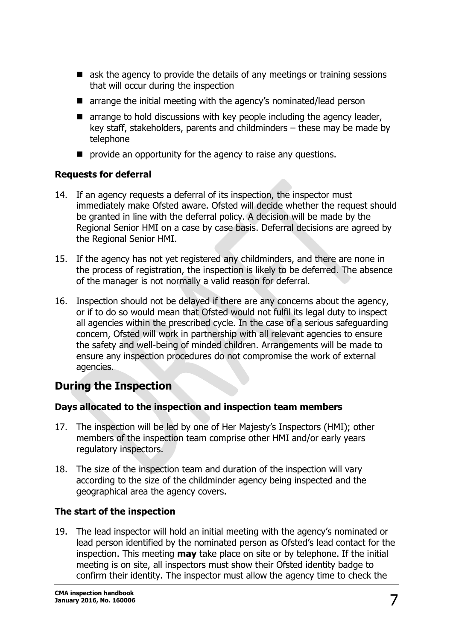- ask the agency to provide the details of any meetings or training sessions that will occur during the inspection
- **E** arrange the initial meeting with the agency's nominated/lead person
- $\blacksquare$  arrange to hold discussions with key people including the agency leader, key staff, stakeholders, parents and childminders – these may be made by telephone
- **P** provide an opportunity for the agency to raise any questions.

#### **Requests for deferral**

- 14. If an agency requests a deferral of its inspection, the inspector must immediately make Ofsted aware. Ofsted will decide whether the request should be granted in line with the deferral policy. A decision will be made by the Regional Senior HMI on a case by case basis. Deferral decisions are agreed by the Regional Senior HMI.
- 15. If the agency has not yet registered any childminders, and there are none in the process of registration, the inspection is likely to be deferred. The absence of the manager is not normally a valid reason for deferral.
- 16. Inspection should not be delayed if there are any concerns about the agency, or if to do so would mean that Ofsted would not fulfil its legal duty to inspect all agencies within the prescribed cycle. In the case of a serious safeguarding concern, Ofsted will work in partnership with all relevant agencies to ensure the safety and well-being of minded children. Arrangements will be made to ensure any inspection procedures do not compromise the work of external agencies.

### <span id="page-6-0"></span>**During the Inspection**

#### **Days allocated to the inspection and inspection team members**

- 17. The inspection will be led by one of Her Majesty's Inspectors (HMI); other members of the inspection team comprise other HMI and/or early years regulatory inspectors.
- 18. The size of the inspection team and duration of the inspection will vary according to the size of the childminder agency being inspected and the geographical area the agency covers.

#### **The start of the inspection**

19. The lead inspector will hold an initial meeting with the agency's nominated or lead person identified by the nominated person as Ofsted's lead contact for the inspection. This meeting **may** take place on site or by telephone. If the initial meeting is on site, all inspectors must show their Ofsted identity badge to confirm their identity. The inspector must allow the agency time to check the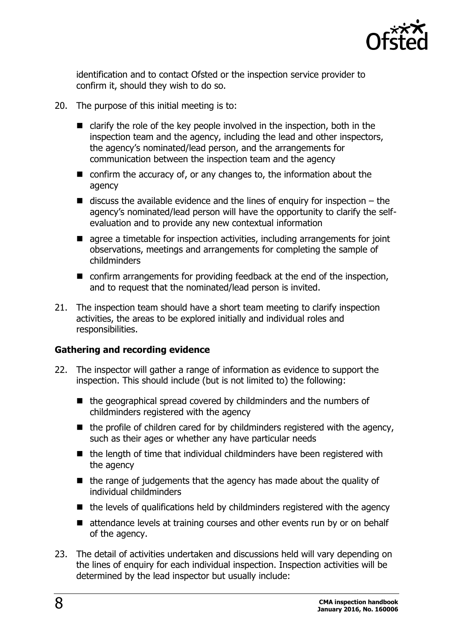

identification and to contact Ofsted or the inspection service provider to confirm it, should they wish to do so.

- 20. The purpose of this initial meeting is to:
	- $\blacksquare$  clarify the role of the key people involved in the inspection, both in the inspection team and the agency, including the lead and other inspectors, the agency's nominated/lead person, and the arrangements for communication between the inspection team and the agency
	- confirm the accuracy of, or any changes to, the information about the agency
	- $\blacksquare$  discuss the available evidence and the lines of enquiry for inspection the agency's nominated/lead person will have the opportunity to clarify the selfevaluation and to provide any new contextual information
	- **E** agree a timetable for inspection activities, including arrangements for joint observations, meetings and arrangements for completing the sample of childminders
	- confirm arrangements for providing feedback at the end of the inspection, and to request that the nominated/lead person is invited.
- 21. The inspection team should have a short team meeting to clarify inspection activities, the areas to be explored initially and individual roles and responsibilities.

#### **Gathering and recording evidence**

- 22. The inspector will gather a range of information as evidence to support the inspection. This should include (but is not limited to) the following:
	- $\blacksquare$  the geographical spread covered by childminders and the numbers of childminders registered with the agency
	- $\blacksquare$  the profile of children cared for by childminders registered with the agency, such as their ages or whether any have particular needs
	- $\blacksquare$  the length of time that individual childminders have been registered with the agency
	- $\blacksquare$  the range of judgements that the agency has made about the quality of individual childminders
	- $\blacksquare$  the levels of qualifications held by childminders registered with the agency
	- attendance levels at training courses and other events run by or on behalf of the agency.
- 23. The detail of activities undertaken and discussions held will vary depending on the lines of enquiry for each individual inspection. Inspection activities will be determined by the lead inspector but usually include: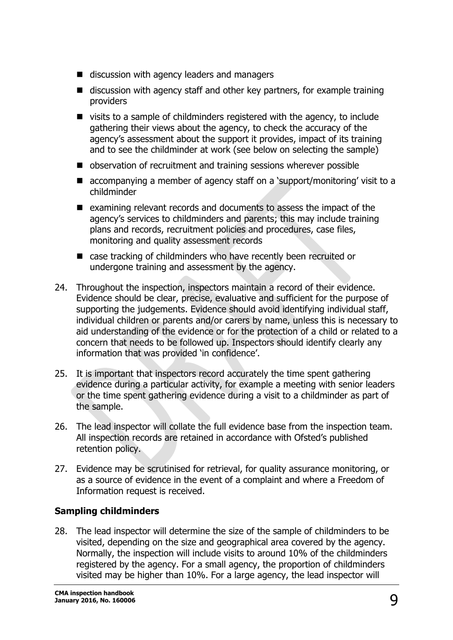- discussion with agency leaders and managers
- $\blacksquare$  discussion with agency staff and other key partners, for example training providers
- $\blacksquare$  visits to a sample of childminders registered with the agency, to include gathering their views about the agency, to check the accuracy of the agency's assessment about the support it provides, impact of its training and to see the childminder at work (see below on selecting the sample)
- observation of recruitment and training sessions wherever possible
- accompanying a member of agency staff on a 'support/monitoring' visit to a childminder
- examining relevant records and documents to assess the impact of the agency's services to childminders and parents; this may include training plans and records, recruitment policies and procedures, case files, monitoring and quality assessment records
- case tracking of childminders who have recently been recruited or undergone training and assessment by the agency.
- 24. Throughout the inspection, inspectors maintain a record of their evidence. Evidence should be clear, precise, evaluative and sufficient for the purpose of supporting the judgements. Evidence should avoid identifying individual staff, individual children or parents and/or carers by name, unless this is necessary to aid understanding of the evidence or for the protection of a child or related to a concern that needs to be followed up. Inspectors should identify clearly any information that was provided 'in confidence'.
- 25. It is important that inspectors record accurately the time spent gathering evidence during a particular activity, for example a meeting with senior leaders or the time spent gathering evidence during a visit to a childminder as part of the sample.
- 26. The lead inspector will collate the full evidence base from the inspection team. All inspection records are retained in accordance with Ofsted's published retention policy.
- 27. Evidence may be scrutinised for retrieval, for quality assurance monitoring, or as a source of evidence in the event of a complaint and where a Freedom of Information request is received.

#### **Sampling childminders**

28. The lead inspector will determine the size of the sample of childminders to be visited, depending on the size and geographical area covered by the agency. Normally, the inspection will include visits to around 10% of the childminders registered by the agency. For a small agency, the proportion of childminders visited may be higher than 10%. For a large agency, the lead inspector will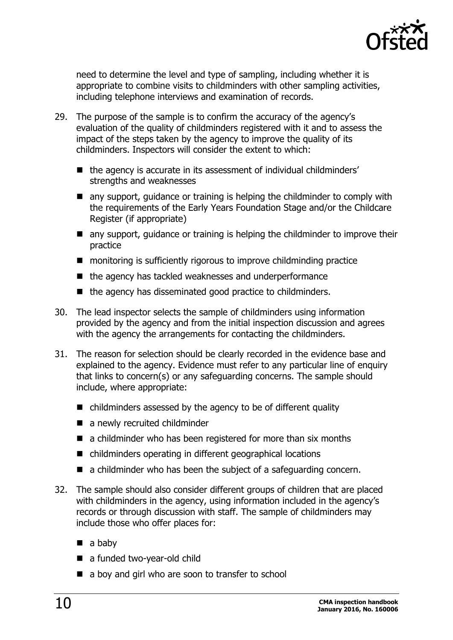

need to determine the level and type of sampling, including whether it is appropriate to combine visits to childminders with other sampling activities, including telephone interviews and examination of records.

- 29. The purpose of the sample is to confirm the accuracy of the agency's evaluation of the quality of childminders registered with it and to assess the impact of the steps taken by the agency to improve the quality of its childminders. Inspectors will consider the extent to which:
	- the agency is accurate in its assessment of individual childminders' strengths and weaknesses
	- **E** any support, quidance or training is helping the childminder to comply with the requirements of the Early Years Foundation Stage and/or the Childcare Register (if appropriate)
	- any support, guidance or training is helping the childminder to improve their practice
	- monitoring is sufficiently rigorous to improve childminding practice
	- the agency has tackled weaknesses and underperformance
	- $\blacksquare$  the agency has disseminated good practice to childminders.
- 30. The lead inspector selects the sample of childminders using information provided by the agency and from the initial inspection discussion and agrees with the agency the arrangements for contacting the childminders.
- 31. The reason for selection should be clearly recorded in the evidence base and explained to the agency. Evidence must refer to any particular line of enquiry that links to concern(s) or any safeguarding concerns. The sample should include, where appropriate:
	- childminders assessed by the agency to be of different quality
	- a newly recruited childminder
	- a childminder who has been registered for more than six months
	- childminders operating in different geographical locations
	- a childminder who has been the subject of a safeguarding concern.
- 32. The sample should also consider different groups of children that are placed with childminders in the agency, using information included in the agency's records or through discussion with staff. The sample of childminders may include those who offer places for:
	- $\blacksquare$  a baby
	- a funded two-year-old child
	- a boy and girl who are soon to transfer to school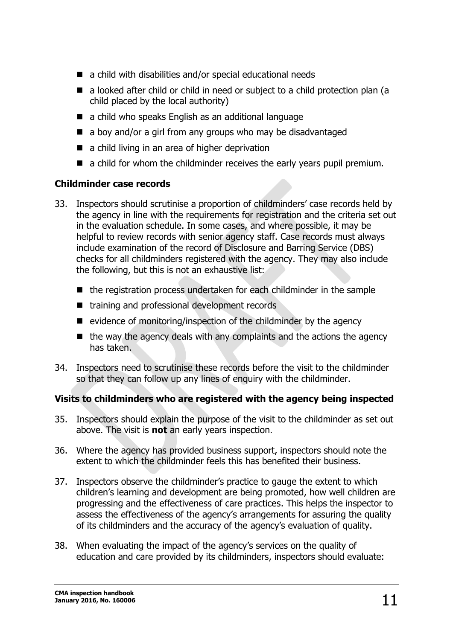- a child with disabilities and/or special educational needs
- a looked after child or child in need or subject to a child protection plan (a child placed by the local authority)
- a child who speaks English as an additional language
- a boy and/or a girl from any groups who may be disadvantaged
- a child living in an area of higher deprivation
- $\blacksquare$  a child for whom the childminder receives the early years pupil premium.

#### **Childminder case records**

- 33. Inspectors should scrutinise a proportion of childminders' case records held by the agency in line with the requirements for registration and the criteria set out in the evaluation schedule. In some cases, and where possible, it may be helpful to review records with senior agency staff. Case records must always include examination of the record of Disclosure and Barring Service (DBS) checks for all childminders registered with the agency. They may also include the following, but this is not an exhaustive list:
	- $\blacksquare$  the registration process undertaken for each childminder in the sample
	- training and professional development records
	- $\blacksquare$  evidence of monitoring/inspection of the childminder by the agency
	- $\blacksquare$  the way the agency deals with any complaints and the actions the agency has taken.
- 34. Inspectors need to scrutinise these records before the visit to the childminder so that they can follow up any lines of enquiry with the childminder.

#### **Visits to childminders who are registered with the agency being inspected**

- 35. Inspectors should explain the purpose of the visit to the childminder as set out above. The visit is **not** an early years inspection.
- 36. Where the agency has provided business support, inspectors should note the extent to which the childminder feels this has benefited their business.
- 37. Inspectors observe the childminder's practice to gauge the extent to which children's learning and development are being promoted, how well children are progressing and the effectiveness of care practices. This helps the inspector to assess the effectiveness of the agency's arrangements for assuring the quality of its childminders and the accuracy of the agency's evaluation of quality.
- 38. When evaluating the impact of the agency's services on the quality of education and care provided by its childminders, inspectors should evaluate: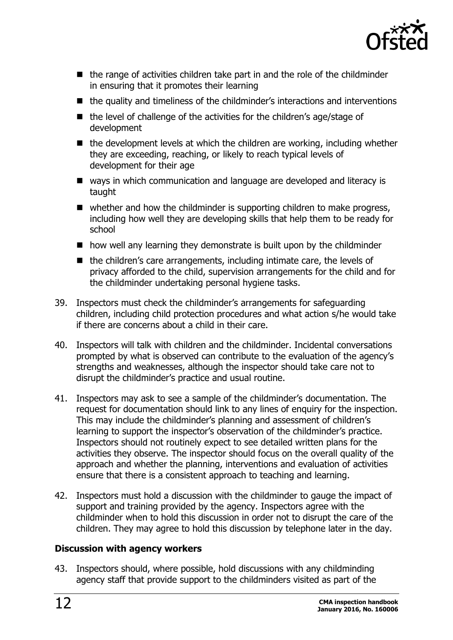

- $\blacksquare$  the range of activities children take part in and the role of the childminder in ensuring that it promotes their learning
- $\blacksquare$  the quality and timeliness of the childminder's interactions and interventions
- $\blacksquare$  the level of challenge of the activities for the children's age/stage of development
- $\blacksquare$  the development levels at which the children are working, including whether they are exceeding, reaching, or likely to reach typical levels of development for their age
- ways in which communication and language are developed and literacy is taught
- $\blacksquare$  whether and how the childminder is supporting children to make progress, including how well they are developing skills that help them to be ready for school
- $\blacksquare$  how well any learning they demonstrate is built upon by the childminder
- $\blacksquare$  the children's care arrangements, including intimate care, the levels of privacy afforded to the child, supervision arrangements for the child and for the childminder undertaking personal hygiene tasks.
- 39. Inspectors must check the childminder's arrangements for safeguarding children, including child protection procedures and what action s/he would take if there are concerns about a child in their care.
- 40. Inspectors will talk with children and the childminder. Incidental conversations prompted by what is observed can contribute to the evaluation of the agency's strengths and weaknesses, although the inspector should take care not to disrupt the childminder's practice and usual routine.
- 41. Inspectors may ask to see a sample of the childminder's documentation. The request for documentation should link to any lines of enquiry for the inspection. This may include the childminder's planning and assessment of children's learning to support the inspector's observation of the childminder's practice. Inspectors should not routinely expect to see detailed written plans for the activities they observe. The inspector should focus on the overall quality of the approach and whether the planning, interventions and evaluation of activities ensure that there is a consistent approach to teaching and learning.
- 42. Inspectors must hold a discussion with the childminder to gauge the impact of support and training provided by the agency. Inspectors agree with the childminder when to hold this discussion in order not to disrupt the care of the children. They may agree to hold this discussion by telephone later in the day.

#### **Discussion with agency workers**

43. Inspectors should, where possible, hold discussions with any childminding agency staff that provide support to the childminders visited as part of the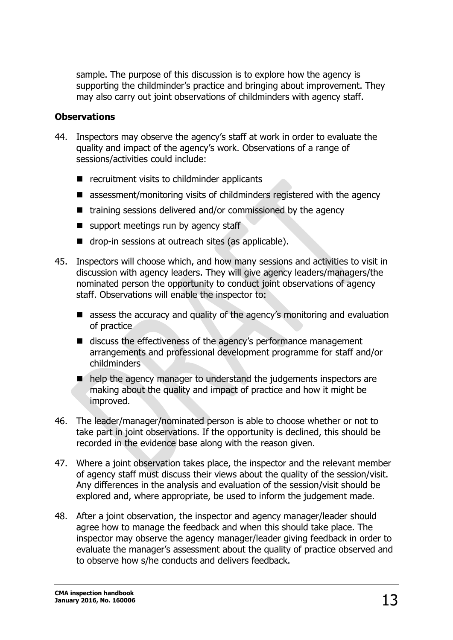sample. The purpose of this discussion is to explore how the agency is supporting the childminder's practice and bringing about improvement. They may also carry out joint observations of childminders with agency staff.

#### **Observations**

- 44. Inspectors may observe the agency's staff at work in order to evaluate the quality and impact of the agency's work. Observations of a range of sessions/activities could include:
	- $\blacksquare$  recruitment visits to childminder applicants
	- assessment/monitoring visits of childminders registered with the agency
	- training sessions delivered and/or commissioned by the agency
	- $\blacksquare$  support meetings run by agency staff
	- **drop-in sessions at outreach sites (as applicable).**
- 45. Inspectors will choose which, and how many sessions and activities to visit in discussion with agency leaders. They will give agency leaders/managers/the nominated person the opportunity to conduct joint observations of agency staff. Observations will enable the inspector to:
	- assess the accuracy and quality of the agency's monitoring and evaluation of practice
	- discuss the effectiveness of the agency's performance management arrangements and professional development programme for staff and/or childminders
	- help the agency manager to understand the judgements inspectors are making about the quality and impact of practice and how it might be improved.
- 46. The leader/manager/nominated person is able to choose whether or not to take part in joint observations. If the opportunity is declined, this should be recorded in the evidence base along with the reason given.
- 47. Where a joint observation takes place, the inspector and the relevant member of agency staff must discuss their views about the quality of the session/visit. Any differences in the analysis and evaluation of the session/visit should be explored and, where appropriate, be used to inform the judgement made.
- 48. After a joint observation, the inspector and agency manager/leader should agree how to manage the feedback and when this should take place. The inspector may observe the agency manager/leader giving feedback in order to evaluate the manager's assessment about the quality of practice observed and to observe how s/he conducts and delivers feedback.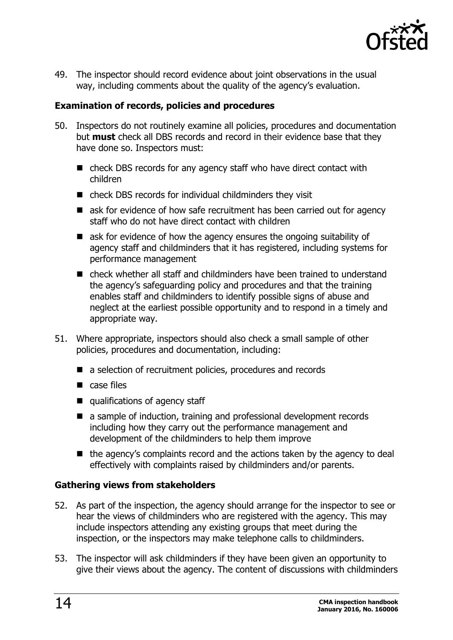

49. The inspector should record evidence about joint observations in the usual way, including comments about the quality of the agency's evaluation.

#### **Examination of records, policies and procedures**

- 50. Inspectors do not routinely examine all policies, procedures and documentation but **must** check all DBS records and record in their evidence base that they have done so. Inspectors must:
	- check DBS records for any agency staff who have direct contact with children
	- check DBS records for individual childminders they visit
	- ask for evidence of how safe recruitment has been carried out for agency staff who do not have direct contact with children
	- ask for evidence of how the agency ensures the ongoing suitability of agency staff and childminders that it has registered, including systems for performance management
	- check whether all staff and childminders have been trained to understand the agency's safeguarding policy and procedures and that the training enables staff and childminders to identify possible signs of abuse and neglect at the earliest possible opportunity and to respond in a timely and appropriate way.
- 51. Where appropriate, inspectors should also check a small sample of other policies, procedures and documentation, including:
	- a selection of recruitment policies, procedures and records
	- case files
	- qualifications of agency staff
	- a sample of induction, training and professional development records including how they carry out the performance management and development of the childminders to help them improve
	- $\blacksquare$  the agency's complaints record and the actions taken by the agency to deal effectively with complaints raised by childminders and/or parents.

#### **Gathering views from stakeholders**

- 52. As part of the inspection, the agency should arrange for the inspector to see or hear the views of childminders who are registered with the agency. This may include inspectors attending any existing groups that meet during the inspection, or the inspectors may make telephone calls to childminders.
- 53. The inspector will ask childminders if they have been given an opportunity to give their views about the agency. The content of discussions with childminders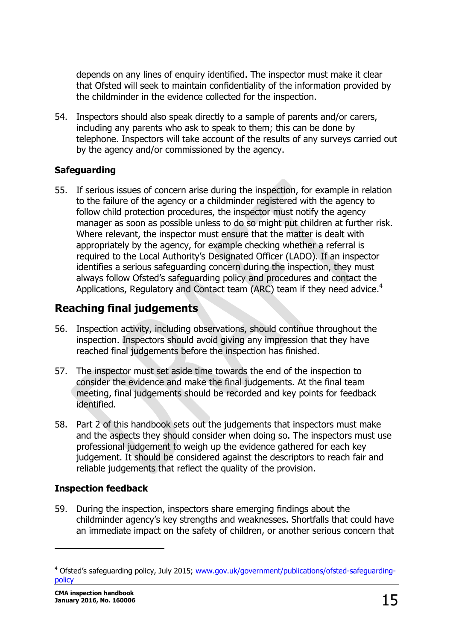depends on any lines of enquiry identified. The inspector must make it clear that Ofsted will seek to maintain confidentiality of the information provided by the childminder in the evidence collected for the inspection.

54. Inspectors should also speak directly to a sample of parents and/or carers, including any parents who ask to speak to them; this can be done by telephone. Inspectors will take account of the results of any surveys carried out by the agency and/or commissioned by the agency.

#### **Safeguarding**

55. If serious issues of concern arise during the inspection, for example in relation to the failure of the agency or a childminder registered with the agency to follow child protection procedures, the inspector must notify the agency manager as soon as possible unless to do so might put children at further risk. Where relevant, the inspector must ensure that the matter is dealt with appropriately by the agency, for example checking whether a referral is required to the Local Authority's Designated Officer (LADO). If an inspector identifies a serious safeguarding concern during the inspection, they must always follow Ofsted's safeguarding policy and procedures and contact the Applications, Regulatory and Contact team (ARC) team if they need advice.<sup>4</sup>

# <span id="page-14-0"></span>**Reaching final judgements**

- 56. Inspection activity, including observations, should continue throughout the inspection. Inspectors should avoid giving any impression that they have reached final judgements before the inspection has finished.
- 57. The inspector must set aside time towards the end of the inspection to consider the evidence and make the final judgements. At the final team meeting, final judgements should be recorded and key points for feedback identified.
- 58. Part 2 of this handbook sets out the judgements that inspectors must make and the aspects they should consider when doing so. The inspectors must use professional judgement to weigh up the evidence gathered for each key judgement. It should be considered against the descriptors to reach fair and reliable judgements that reflect the quality of the provision.

#### **Inspection feedback**

59. During the inspection, inspectors share emerging findings about the childminder agency's key strengths and weaknesses. Shortfalls that could have an immediate impact on the safety of children, or another serious concern that

<sup>4</sup> Ofsted's safeguarding policy, July 2015; [www.gov.uk/government/publications/ofsted-safeguarding](https://www.gov.uk/government/publications/ofsted-safeguarding-policy)[policy](https://www.gov.uk/government/publications/ofsted-safeguarding-policy)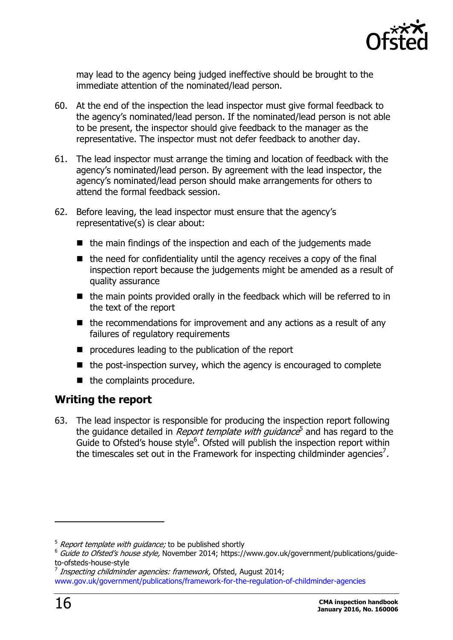

may lead to the agency being judged ineffective should be brought to the immediate attention of the nominated/lead person.

- 60. At the end of the inspection the lead inspector must give formal feedback to the agency's nominated/lead person. If the nominated/lead person is not able to be present, the inspector should give feedback to the manager as the representative. The inspector must not defer feedback to another day.
- 61. The lead inspector must arrange the timing and location of feedback with the agency's nominated/lead person. By agreement with the lead inspector, the agency's nominated/lead person should make arrangements for others to attend the formal feedback session.
- 62. Before leaving, the lead inspector must ensure that the agency's representative(s) is clear about:
	- $\blacksquare$  the main findings of the inspection and each of the judgements made
	- $\blacksquare$  the need for confidentiality until the agency receives a copy of the final inspection report because the judgements might be amended as a result of quality assurance
	- $\blacksquare$  the main points provided orally in the feedback which will be referred to in the text of the report
	- $\blacksquare$  the recommendations for improvement and any actions as a result of any failures of regulatory requirements
	- **P** procedures leading to the publication of the report
	- $\blacksquare$  the post-inspection survey, which the agency is encouraged to complete
	- $\blacksquare$  the complaints procedure.

### <span id="page-15-0"></span>**Writing the report**

63. The lead inspector is responsible for producing the inspection report following the guidance detailed in *Report template with guidance*<sup>5</sup> and has regard to the Guide to Ofsted's house style<sup>6</sup>. Ofsted will publish the inspection report within the timescales set out in the Framework for inspecting childminder agencies<sup>7</sup>.

 $5$  Report template with guidance; to be published shortly

 $6$  Guide to Ofsted's house style, November 2014; https://www.gov.uk/government/publications/guideto-ofsteds-house-style

<sup>&</sup>lt;sup>7</sup> Inspecting childminder agencies: framework, Ofsted, August 2014;

[www.gov.uk/government/publications/framework-for-the-regulation-of-childminder-agencies](https://www.gov.uk/government/publications/framework-for-the-regulation-of-childminder-agencies)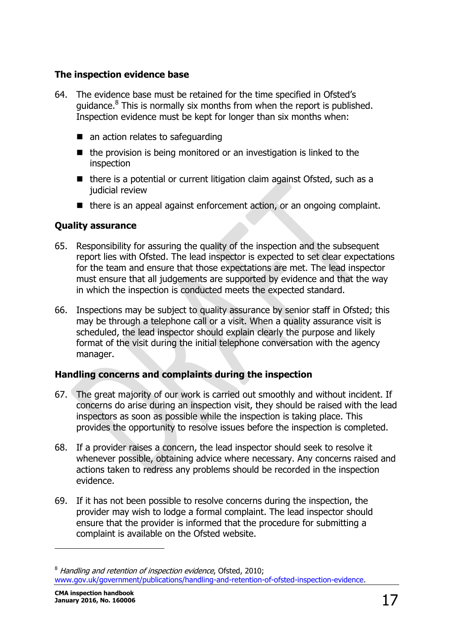#### **The inspection evidence base**

- 64. The evidence base must be retained for the time specified in Ofsted's guidance.<sup>8</sup> This is normally six months from when the report is published. Inspection evidence must be kept for longer than six months when:
	- an action relates to safeguarding
	- $\blacksquare$  the provision is being monitored or an investigation is linked to the inspection
	- $\blacksquare$  there is a potential or current litigation claim against Ofsted, such as a judicial review
	- $\blacksquare$  there is an appeal against enforcement action, or an ongoing complaint.

#### **Quality assurance**

- 65. Responsibility for assuring the quality of the inspection and the subsequent report lies with Ofsted. The lead inspector is expected to set clear expectations for the team and ensure that those expectations are met. The lead inspector must ensure that all judgements are supported by evidence and that the way in which the inspection is conducted meets the expected standard.
- 66. Inspections may be subject to quality assurance by senior staff in Ofsted; this may be through a telephone call or a visit. When a quality assurance visit is scheduled, the lead inspector should explain clearly the purpose and likely format of the visit during the initial telephone conversation with the agency manager.

#### **Handling concerns and complaints during the inspection**

- 67. The great majority of our work is carried out smoothly and without incident. If concerns do arise during an inspection visit, they should be raised with the lead inspectors as soon as possible while the inspection is taking place. This provides the opportunity to resolve issues before the inspection is completed.
- 68. If a provider raises a concern, the lead inspector should seek to resolve it whenever possible, obtaining advice where necessary. Any concerns raised and actions taken to redress any problems should be recorded in the inspection evidence.
- 69. If it has not been possible to resolve concerns during the inspection, the provider may wish to lodge a formal complaint. The lead inspector should ensure that the provider is informed that the procedure for submitting a complaint is available on the Ofsted website.

<sup>&</sup>lt;sup>8</sup> Handling and retention of inspection evidence, Ofsted, 2010; [www.gov.uk/government/publications/handling-and-retention-of-ofsted-inspection-evidence.](http://www.gov.uk/government/publications/handling-and-retention-of-ofsted-inspection-evidence)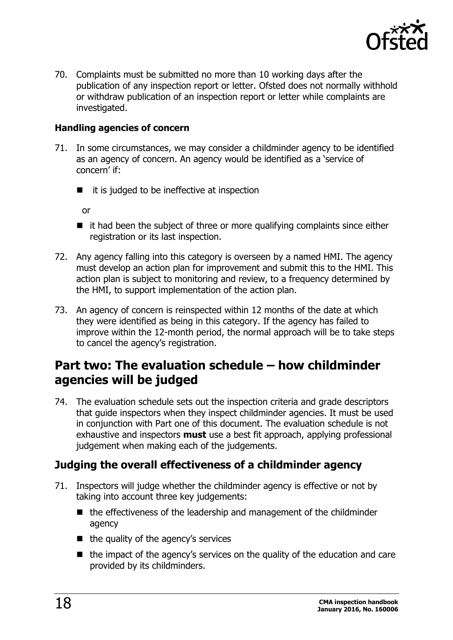

70. Complaints must be submitted no more than 10 working days after the publication of any inspection report or letter. Ofsted does not normally withhold or withdraw publication of an inspection report or letter while complaints are investigated.

#### **Handling agencies of concern**

- 71. In some circumstances, we may consider a childminder agency to be identified as an agency of concern. An agency would be identified as a 'service of concern' if:
	- $\blacksquare$  it is judged to be ineffective at inspection

or

- $\blacksquare$  it had been the subject of three or more qualifying complaints since either registration or its last inspection.
- 72. Any agency falling into this category is overseen by a named HMI. The agency must develop an action plan for improvement and submit this to the HMI. This action plan is subject to monitoring and review, to a frequency determined by the HMI, to support implementation of the action plan.
- 73. An agency of concern is reinspected within 12 months of the date at which they were identified as being in this category. If the agency has failed to improve within the 12-month period, the normal approach will be to take steps to cancel the agency's registration.

## <span id="page-17-0"></span>**Part two: The evaluation schedule – how childminder agencies will be judged**

74. The evaluation schedule sets out the inspection criteria and grade descriptors that guide inspectors when they inspect childminder agencies. It must be used in conjunction with Part one of this document. The evaluation schedule is not exhaustive and inspectors **must** use a best fit approach, applying professional judgement when making each of the judgements.

#### <span id="page-17-1"></span>**Judging the overall effectiveness of a childminder agency**

- 71. Inspectors will judge whether the childminder agency is effective or not by taking into account three key judgements:
	- $\blacksquare$  the effectiveness of the leadership and management of the childminder agency
	- $\blacksquare$  the quality of the agency's services
	- $\blacksquare$  the impact of the agency's services on the quality of the education and care provided by its childminders.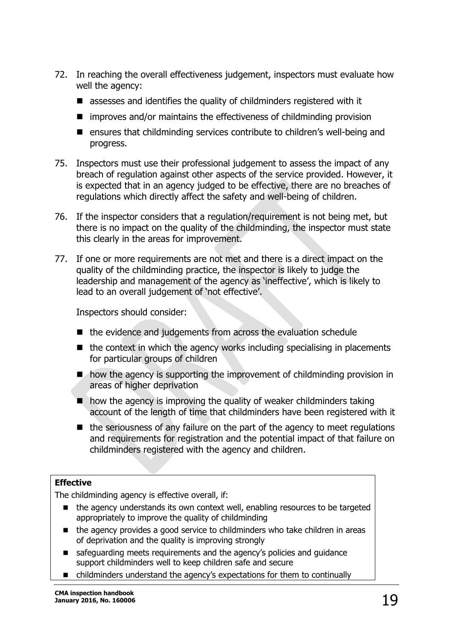- 72. In reaching the overall effectiveness judgement, inspectors must evaluate how well the agency:
	- assesses and identifies the quality of childminders registered with it
	- $\blacksquare$  improves and/or maintains the effectiveness of childminding provision
	- ensures that childminding services contribute to children's well-being and progress.
- 75. Inspectors must use their professional judgement to assess the impact of any breach of regulation against other aspects of the service provided. However, it is expected that in an agency judged to be effective, there are no breaches of regulations which directly affect the safety and well-being of children.
- 76. If the inspector considers that a regulation/requirement is not being met, but there is no impact on the quality of the childminding, the inspector must state this clearly in the areas for improvement.
- 77. If one or more requirements are not met and there is a direct impact on the quality of the childminding practice, the inspector is likely to judge the leadership and management of the agency as 'ineffective', which is likely to lead to an overall judgement of 'not effective'.

Inspectors should consider:

- $\blacksquare$  the evidence and judgements from across the evaluation schedule
- $\blacksquare$  the context in which the agency works including specialising in placements for particular groups of children
- $\blacksquare$  how the agency is supporting the improvement of childminding provision in areas of higher deprivation
- $\blacksquare$  how the agency is improving the quality of weaker childminders taking account of the length of time that childminders have been registered with it
- $\blacksquare$  the seriousness of any failure on the part of the agency to meet regulations and requirements for registration and the potential impact of that failure on childminders registered with the agency and children.

#### **Effective**

The childminding agency is effective overall, if:

- the agency understands its own context well, enabling resources to be targeted appropriately to improve the quality of childminding
- the agency provides a good service to childminders who take children in areas of deprivation and the quality is improving strongly
- safeguarding meets requirements and the agency's policies and guidance support childminders well to keep children safe and secure
- childminders understand the agency's expectations for them to continually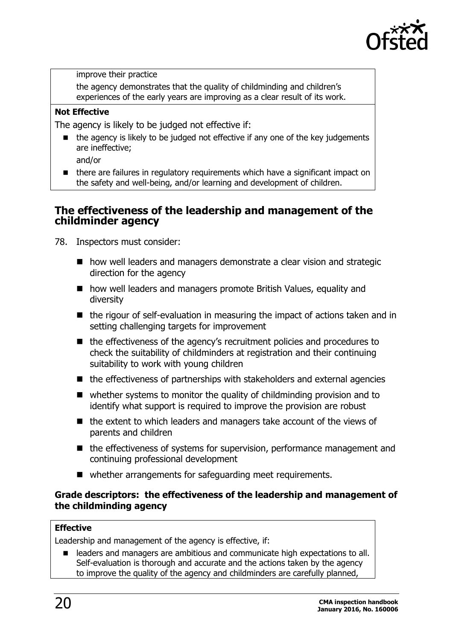

improve their practice

the agency demonstrates that the quality of childminding and children's experiences of the early years are improving as a clear result of its work.

#### **Not Effective**

The agency is likely to be judged not effective if:

- the agency is likely to be judged not effective if any one of the key judgements are ineffective;
	- and/or
- there are failures in regulatory requirements which have a significant impact on the safety and well-being, and/or learning and development of children.

#### <span id="page-19-0"></span>**The effectiveness of the leadership and management of the childminder agency**

- 78. Inspectors must consider:
	- how well leaders and managers demonstrate a clear vision and strategic direction for the agency
	- how well leaders and managers promote British Values, equality and diversity
	- $\blacksquare$  the rigour of self-evaluation in measuring the impact of actions taken and in setting challenging targets for improvement
	- the effectiveness of the agency's recruitment policies and procedures to check the suitability of childminders at registration and their continuing suitability to work with young children
	- $\blacksquare$  the effectiveness of partnerships with stakeholders and external agencies
	- whether systems to monitor the quality of childminding provision and to identify what support is required to improve the provision are robust
	- $\blacksquare$  the extent to which leaders and managers take account of the views of parents and children
	- the effectiveness of systems for supervision, performance management and continuing professional development
	- whether arrangements for safeguarding meet requirements.

#### **Grade descriptors: the effectiveness of the leadership and management of the childminding agency**

#### **Effective**

Leadership and management of the agency is effective, if:

 leaders and managers are ambitious and communicate high expectations to all. Self-evaluation is thorough and accurate and the actions taken by the agency to improve the quality of the agency and childminders are carefully planned,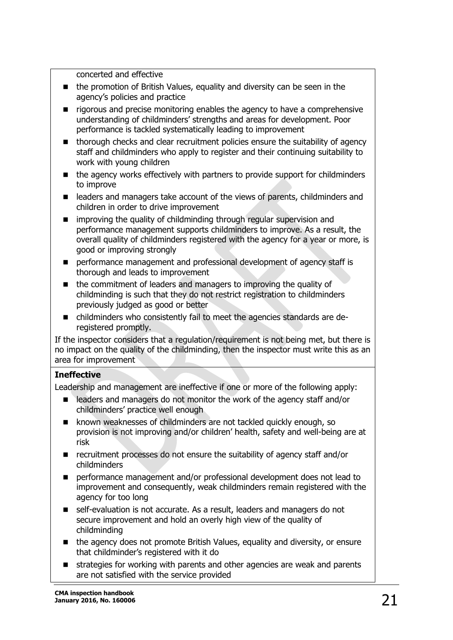concerted and effective

- the promotion of British Values, equality and diversity can be seen in the agency's policies and practice
- **T** rigorous and precise monitoring enables the agency to have a comprehensive understanding of childminders' strengths and areas for development. Poor performance is tackled systematically leading to improvement
- **thorough checks and clear recruitment policies ensure the suitability of agency** staff and childminders who apply to register and their continuing suitability to work with young children
- the agency works effectively with partners to provide support for childminders to improve
- **E** leaders and managers take account of the views of parents, childminders and children in order to drive improvement
- **E** improving the quality of childminding through regular supervision and performance management supports childminders to improve. As a result, the overall quality of childminders registered with the agency for a year or more, is good or improving strongly
- **Paragement and professional development of agency staff is** thorough and leads to improvement
- $\blacksquare$  the commitment of leaders and managers to improving the quality of childminding is such that they do not restrict registration to childminders previously judged as good or better
- childminders who consistently fail to meet the agencies standards are deregistered promptly.

If the inspector considers that a regulation/requirement is not being met, but there is no impact on the quality of the childminding, then the inspector must write this as an area for improvement

#### **Ineffective**

Leadership and management are ineffective if one or more of the following apply:

- leaders and managers do not monitor the work of the agency staff and/or childminders' practice well enough
- **E** known weaknesses of childminders are not tackled quickly enough, so provision is not improving and/or children' health, safety and well-being are at risk
- recruitment processes do not ensure the suitability of agency staff and/or childminders
- **Performance management and/or professional development does not lead to** improvement and consequently, weak childminders remain registered with the agency for too long
- self-evaluation is not accurate. As a result, leaders and managers do not secure improvement and hold an overly high view of the quality of childminding
- the agency does not promote British Values, equality and diversity, or ensure that childminder's registered with it do
- strategies for working with parents and other agencies are weak and parents are not satisfied with the service provided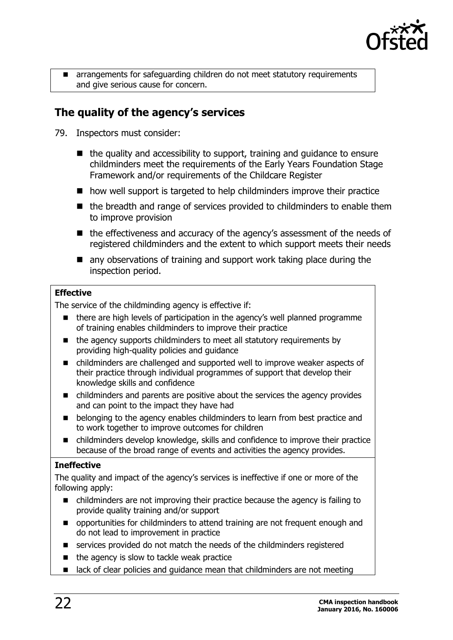

 arrangements for safeguarding children do not meet statutory requirements and give serious cause for concern.

### <span id="page-21-0"></span>**The quality of the agency's services**

- 79. Inspectors must consider:
	- $\blacksquare$  the quality and accessibility to support, training and guidance to ensure childminders meet the requirements of the Early Years Foundation Stage Framework and/or requirements of the Childcare Register
	- how well support is targeted to help childminders improve their practice
	- $\blacksquare$  the breadth and range of services provided to childminders to enable them to improve provision
	- the effectiveness and accuracy of the agency's assessment of the needs of registered childminders and the extent to which support meets their needs
	- **E** any observations of training and support work taking place during the inspection period.

#### **Effective**

The service of the childminding agency is effective if:

- there are high levels of participation in the agency's well planned programme of training enables childminders to improve their practice
- the agency supports childminders to meet all statutory requirements by providing high-quality policies and guidance
- childminders are challenged and supported well to improve weaker aspects of their practice through individual programmes of support that develop their knowledge skills and confidence
- childminders and parents are positive about the services the agency provides and can point to the impact they have had
- **EXECT** belonging to the agency enables childminders to learn from best practice and to work together to improve outcomes for children
- childminders develop knowledge, skills and confidence to improve their practice because of the broad range of events and activities the agency provides.

#### **Ineffective**

The quality and impact of the agency's services is ineffective if one or more of the following apply:

- childminders are not improving their practice because the agency is failing to provide quality training and/or support
- $\blacksquare$  opportunities for childminders to attend training are not frequent enough and do not lead to improvement in practice
- services provided do not match the needs of the childminders registered
- $\blacksquare$  the agency is slow to tackle weak practice
- **If** lack of clear policies and quidance mean that childminders are not meeting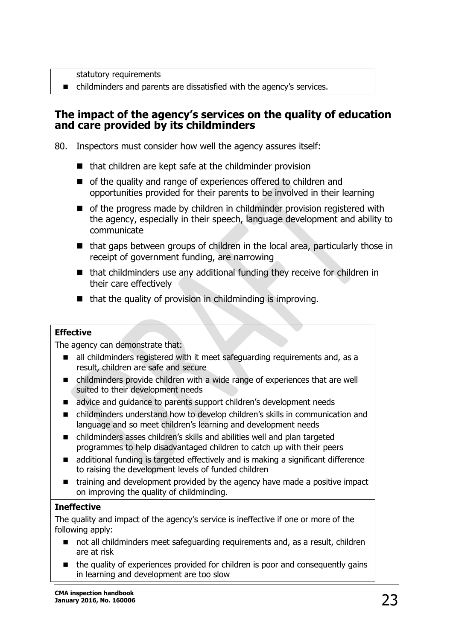statutory requirements

■ childminders and parents are dissatisfied with the agency's services.

#### <span id="page-22-0"></span>**The impact of the agency's services on the quality of education and care provided by its childminders**

80. Inspectors must consider how well the agency assures itself:

- $\blacksquare$  that children are kept safe at the childminder provision
- of the quality and range of experiences offered to children and opportunities provided for their parents to be involved in their learning
- of the progress made by children in childminder provision registered with the agency, especially in their speech, language development and ability to communicate
- that gaps between groups of children in the local area, particularly those in receipt of government funding, are narrowing
- $\blacksquare$  that childminders use any additional funding they receive for children in their care effectively
- $\blacksquare$  that the quality of provision in childminding is improving.

#### **Effective**

The agency can demonstrate that:

- all childminders registered with it meet safeguarding requirements and, as a result, children are safe and secure
- childminders provide children with a wide range of experiences that are well suited to their development needs
- diadvice and guidance to parents support children's development needs
- childminders understand how to develop children's skills in communication and language and so meet children's learning and development needs
- childminders asses children's skills and abilities well and plan targeted programmes to help disadvantaged children to catch up with their peers
- additional funding is targeted effectively and is making a significant difference to raising the development levels of funded children
- training and development provided by the agency have made a positive impact on improving the quality of childminding.

#### **Ineffective**

The quality and impact of the agency's service is ineffective if one or more of the following apply:

- not all childminders meet safeguarding requirements and, as a result, children are at risk
- the quality of experiences provided for children is poor and consequently gains in learning and development are too slow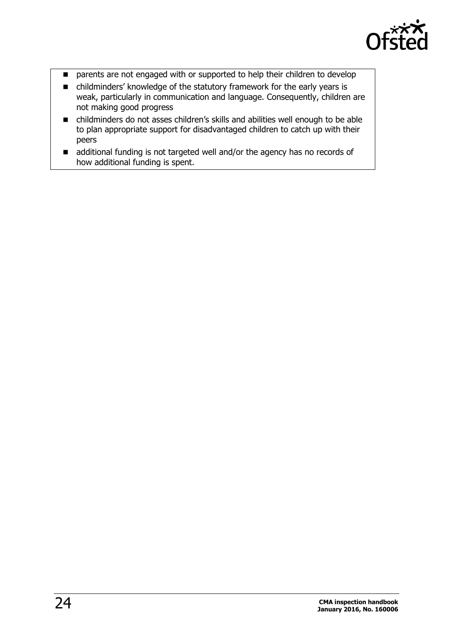

- **P** parents are not engaged with or supported to help their children to develop
- childminders' knowledge of the statutory framework for the early years is weak, particularly in communication and language. Consequently, children are not making good progress
- childminders do not asses children's skills and abilities well enough to be able to plan appropriate support for disadvantaged children to catch up with their peers
- additional funding is not targeted well and/or the agency has no records of how additional funding is spent.